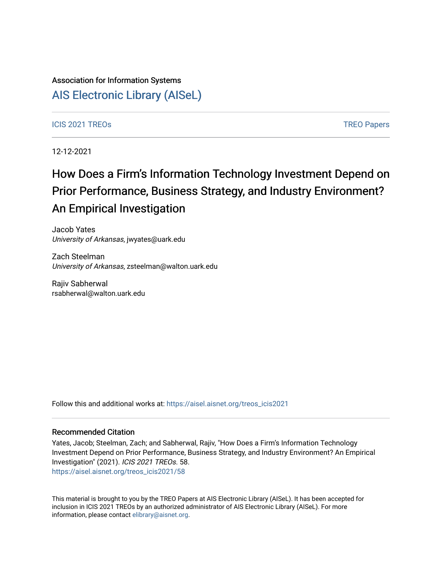## Association for Information Systems [AIS Electronic Library \(AISeL\)](https://aisel.aisnet.org/)

#### ICIS 2021 TREOS Notes that the contract of the contract of the contract of the contract of the contract of the contract of the contract of the contract of the contract of the contract of the contract of the contract of the

12-12-2021

# How Does a Firm's Information Technology Investment Depend on Prior Performance, Business Strategy, and Industry Environment? An Empirical Investigation

Jacob Yates University of Arkansas, jwyates@uark.edu

Zach Steelman University of Arkansas, zsteelman@walton.uark.edu

Rajiv Sabherwal rsabherwal@walton.uark.edu

Follow this and additional works at: [https://aisel.aisnet.org/treos\\_icis2021](https://aisel.aisnet.org/treos_icis2021?utm_source=aisel.aisnet.org%2Ftreos_icis2021%2F58&utm_medium=PDF&utm_campaign=PDFCoverPages) 

#### Recommended Citation

Yates, Jacob; Steelman, Zach; and Sabherwal, Rajiv, "How Does a Firm's Information Technology Investment Depend on Prior Performance, Business Strategy, and Industry Environment? An Empirical Investigation" (2021). ICIS 2021 TREOs. 58. [https://aisel.aisnet.org/treos\\_icis2021/58](https://aisel.aisnet.org/treos_icis2021/58?utm_source=aisel.aisnet.org%2Ftreos_icis2021%2F58&utm_medium=PDF&utm_campaign=PDFCoverPages) 

This material is brought to you by the TREO Papers at AIS Electronic Library (AISeL). It has been accepted for inclusion in ICIS 2021 TREOs by an authorized administrator of AIS Electronic Library (AISeL). For more information, please contact [elibrary@aisnet.org.](mailto:elibrary@aisnet.org%3E)